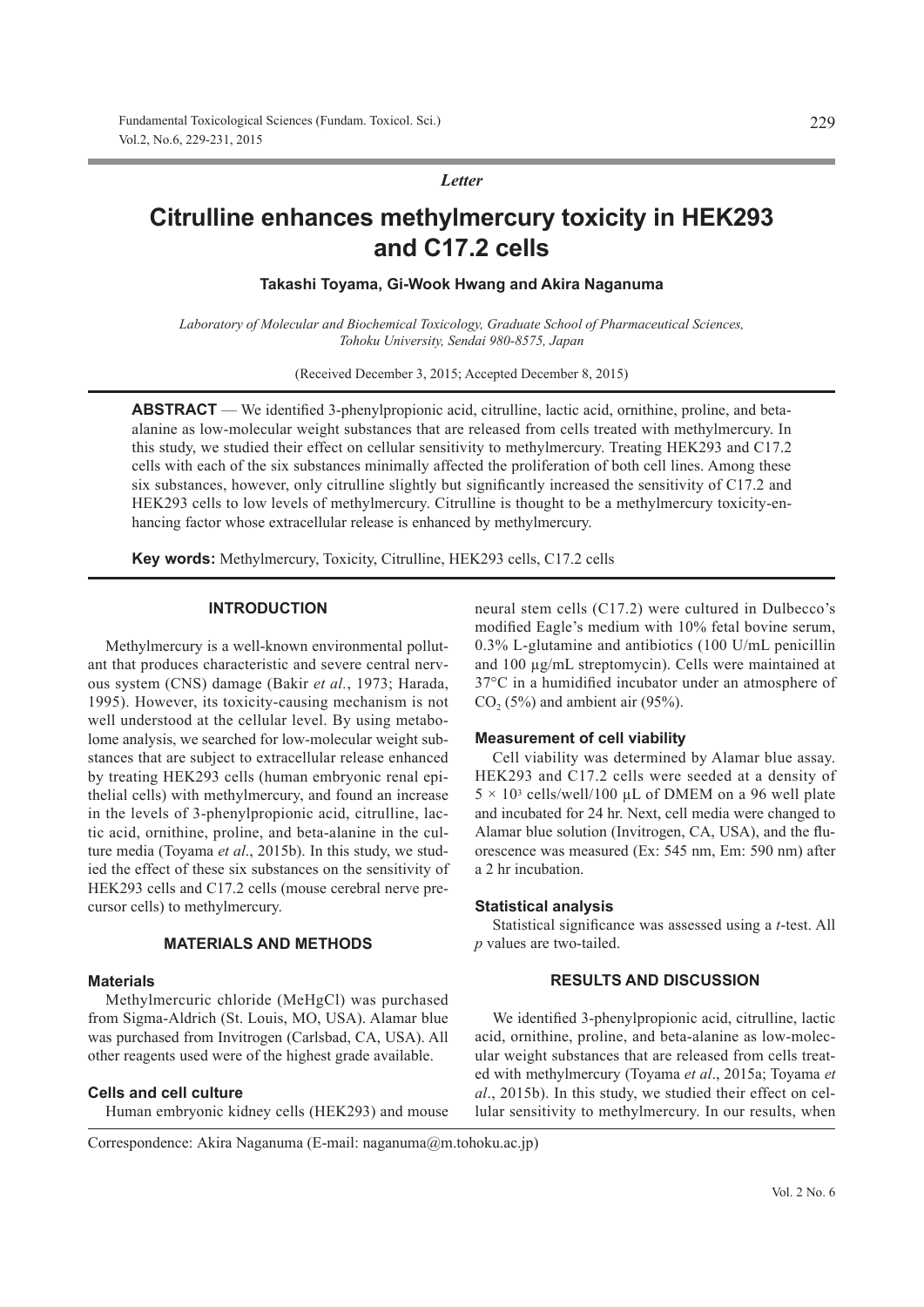*Letter*

# **Citrulline enhances methylmercury toxicity in HEK293 and C17.2 cells**

**Takashi Toyama, Gi-Wook Hwang and Akira Naganuma**

*Laboratory of Molecular and Biochemical Toxicology, Graduate School of Pharmaceutical Sciences, Tohoku University, Sendai 980-8575, Japan*

(Received December 3, 2015; Accepted December 8, 2015)

**ABSTRACT** — We identified 3-phenylpropionic acid, citrulline, lactic acid, ornithine, proline, and betaalanine as low-molecular weight substances that are released from cells treated with methylmercury. In this study, we studied their effect on cellular sensitivity to methylmercury. Treating HEK293 and C17.2 cells with each of the six substances minimally affected the proliferation of both cell lines. Among these six substances, however, only citrulline slightly but significantly increased the sensitivity of C17.2 and HEK293 cells to low levels of methylmercury. Citrulline is thought to be a methylmercury toxicity-enhancing factor whose extracellular release is enhanced by methylmercury.

**Key words:** Methylmercury, Toxicity, Citrulline, HEK293 cells, C17.2 cells

#### **INTRODUCTION**

Methylmercury is a well-known environmental pollutant that produces characteristic and severe central nervous system (CNS) damage (Bakir *et al.*, 1973; Harada, 1995). However, its toxicity-causing mechanism is not well understood at the cellular level. By using metabolome analysis, we searched for low-molecular weight substances that are subject to extracellular release enhanced by treating HEK293 cells (human embryonic renal epithelial cells) with methylmercury, and found an increase in the levels of 3-phenylpropionic acid, citrulline, lactic acid, ornithine, proline, and beta-alanine in the culture media (Toyama *et al*., 2015b). In this study, we studied the effect of these six substances on the sensitivity of HEK293 cells and C17.2 cells (mouse cerebral nerve precursor cells) to methylmercury.

## **MATERIALS AND METHODS**

#### **Materials**

Methylmercuric chloride (MeHgCl) was purchased from Sigma-Aldrich (St. Louis, MO, USA). Alamar blue was purchased from Invitrogen (Carlsbad, CA, USA). All other reagents used were of the highest grade available.

#### **Cells and cell culture**

Human embryonic kidney cells (HEK293) and mouse

neural stem cells (C17.2) were cultured in Dulbecco's modified Eagle's medium with 10% fetal bovine serum, 0.3% L-glutamine and antibiotics (100 U/mL penicillin and 100 μg/mL streptomycin). Cells were maintained at 37°C in a humidified incubator under an atmosphere of  $CO<sub>2</sub> (5%)$  and ambient air (95%).

#### **Measurement of cell viability**

Cell viability was determined by Alamar blue assay. HEK293 and C17.2 cells were seeded at a density of  $5 \times 10^3$  cells/well/100 μL of DMEM on a 96 well plate and incubated for 24 hr. Next, cell media were changed to Alamar blue solution (Invitrogen, CA, USA), and the fluorescence was measured (Ex: 545 nm, Em: 590 nm) after a 2 hr incubation.

#### **Statistical analysis**

Statistical significance was assessed using a *t*-test. All *p* values are two-tailed.

### **RESULTS AND DISCUSSION**

We identified 3-phenylpropionic acid, citrulline, lactic acid, ornithine, proline, and beta-alanine as low-molecular weight substances that are released from cells treated with methylmercury (Toyama *et al*., 2015a; Toyama *et al*., 2015b). In this study, we studied their effect on cellular sensitivity to methylmercury. In our results, when

Correspondence: Akira Naganuma (E-mail: naganuma@m.tohoku.ac.jp)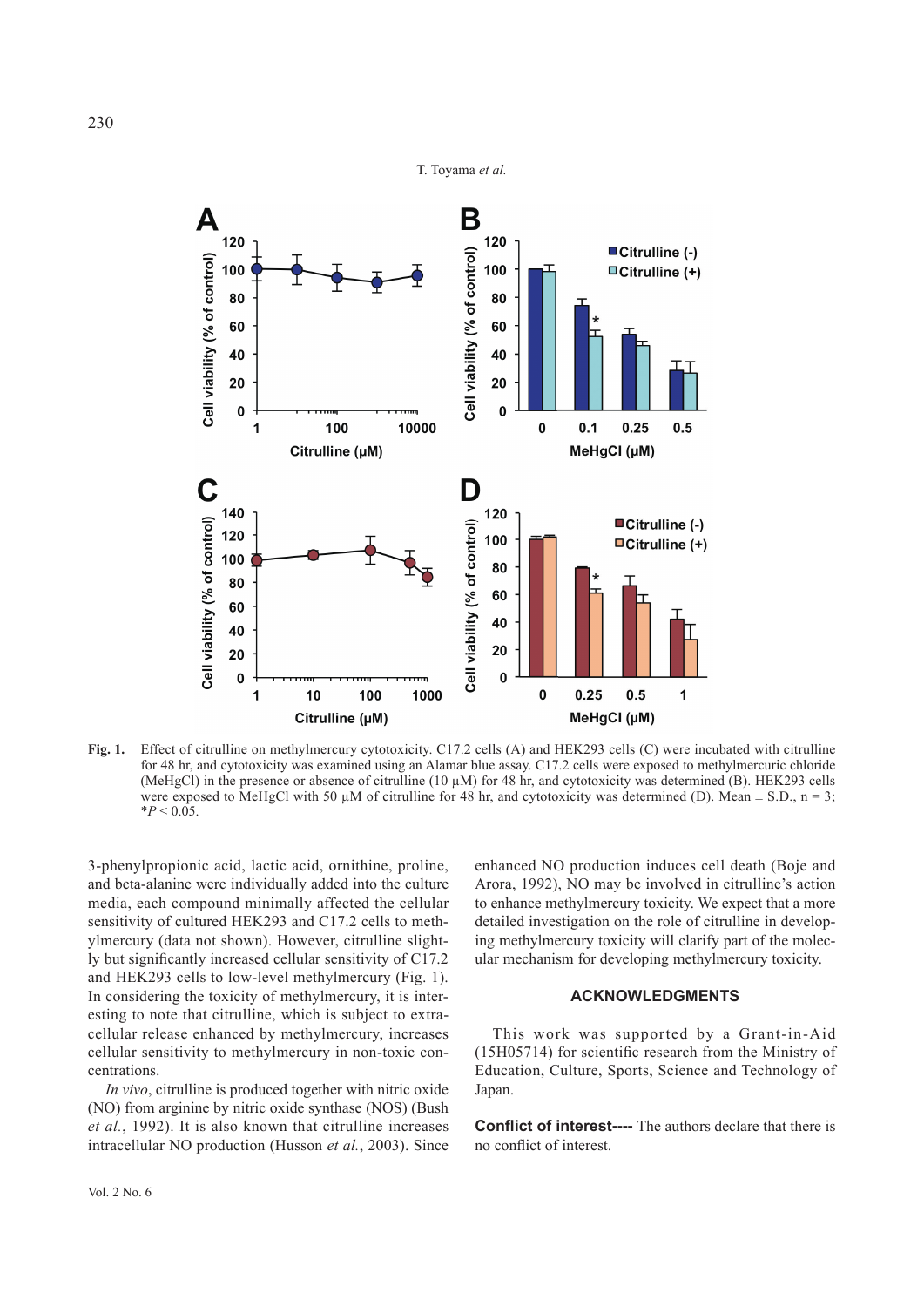



**Fig. 1.** Effect of citrulline on methylmercury cytotoxicity. C17.2 cells (A) and HEK293 cells (C) were incubated with citrulline for 48 hr, and cytotoxicity was examined using an Alamar blue assay. C17.2 cells were exposed to methylmercuric chloride (MeHgCl) in the presence or absence of citrulline (10 μM) for 48 hr, and cytotoxicity was determined (B). HEK293 cells were exposed to MeHgCl with 50  $\mu$ M of citrulline for 48 hr, and cytotoxicity was determined (D). Mean  $\pm$  S.D., n = 3;  $*P < 0.05$ .

3-phenylpropionic acid, lactic acid, ornithine, proline, and beta-alanine were individually added into the culture media, each compound minimally affected the cellular sensitivity of cultured HEK293 and C17.2 cells to methylmercury (data not shown). However, citrulline slightly but significantly increased cellular sensitivity of  $C17.2$ and HEK293 cells to low-level methylmercury (Fig. 1). In considering the toxicity of methylmercury, it is interesting to note that citrulline, which is subject to extracellular release enhanced by methylmercury, increases cellular sensitivity to methylmercury in non-toxic concentrations.

*In vivo*, citrulline is produced together with nitric oxide (NO) from arginine by nitric oxide synthase (NOS) (Bush *et al.*, 1992). It is also known that citrulline increases intracellular NO production (Husson *et al.*, 2003). Since

enhanced NO production induces cell death (Boje and Arora, 1992), NO may be involved in citrulline's action to enhance methylmercury toxicity. We expect that a more detailed investigation on the role of citrulline in developing methylmercury toxicity will clarify part of the molecular mechanism for developing methylmercury toxicity.

### **ACKNOWLEDGMENTS**

This work was supported by a Grant-in-Aid  $(15H05714)$  for scientific research from the Ministry of Education, Culture, Sports, Science and Technology of Japan.

**Conflict of interest----** The authors declare that there is no conflict of interest.